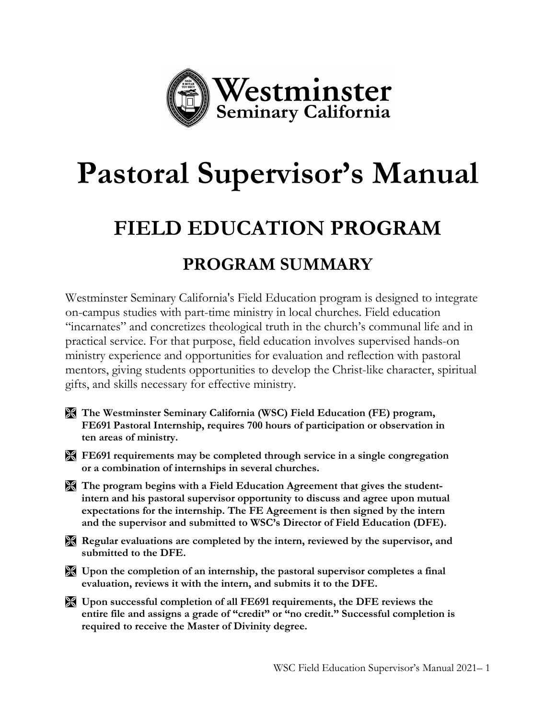

# **Pastoral Supervisor's Manual**

## **FIELD EDUCATION PROGRAM PROGRAM SUMMARY**

Westminster Seminary California's Field Education program is designed to integrate on-campus studies with part-time ministry in local churches. Field education "incarnates" and concretizes theological truth in the church's communal life and in practical service. For that purpose, field education involves supervised hands-on ministry experience and opportunities for evaluation and reflection with pastoral mentors, giving students opportunities to develop the Christ-like character, spiritual gifts, and skills necessary for effective ministry.

- **The Westminster Seminary California (WSC) Field Education (FE) program, FE691 Pastoral Internship, requires 700 hours of participation or observation in ten areas of ministry.**
- **FE691 requirements may be completed through service in a single congregation or a combination of internships in several churches.**
- **The program begins with a Field Education Agreement that gives the studentintern and his pastoral supervisor opportunity to discuss and agree upon mutual expectations for the internship. The FE Agreement is then signed by the intern and the supervisor and submitted to WSC's Director of Field Education (DFE).**
- **Regular evaluations are completed by the intern, reviewed by the supervisor, and submitted to the DFE.**
- **Upon the completion of an internship, the pastoral supervisor completes a final evaluation, reviews it with the intern, and submits it to the DFE.**
- **Upon successful completion of all FE691 requirements, the DFE reviews the entire file and assigns a grade of "credit" or "no credit." Successful completion is required to receive the Master of Divinity degree.**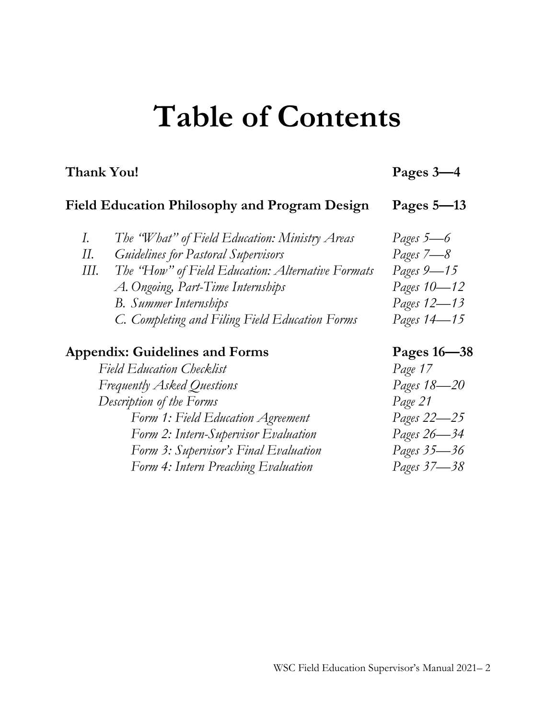## **Table of Contents**

## **Thank You! Pages 3—4**

| <b>Field Education Philosophy and Program Design</b> |                                                   | Pages $5-13$ |
|------------------------------------------------------|---------------------------------------------------|--------------|
| I.                                                   | The "What" of Field Education: Ministry Areas     | Pages $5-6$  |
| II.                                                  | <b>Guidelines for Pastoral Supervisors</b>        | Pages 7-8    |
| Ш.                                                   | The "How" of Field Education: Alternative Formats | Pages 9-15   |
|                                                      | A. Ongoing, Part-Time Internships                 | Pages 10-12  |
|                                                      | <b>B.</b> Summer Internships                      | Pages 12-13  |
|                                                      | C. Completing and Filing Field Education Forms    | Pages 14-15  |
| <b>Appendix: Guidelines and Forms</b>                |                                                   | Pages 16-38  |
| <b>Field Education Checklist</b>                     |                                                   | Page 17      |
| <b>Frequently Asked Questions</b>                    |                                                   | Pages 18-20  |
| Description of the Forms                             |                                                   | Page 21      |
|                                                      |                                                   |              |

*Form 1: Field Education Agreement Pages 22—25 Form 2: Intern-Supervisor Evaluation Pages 26—34 Form 3: Supervisor's Final Evaluation Pages 35—36 Form 4: Intern Preaching Evaluation*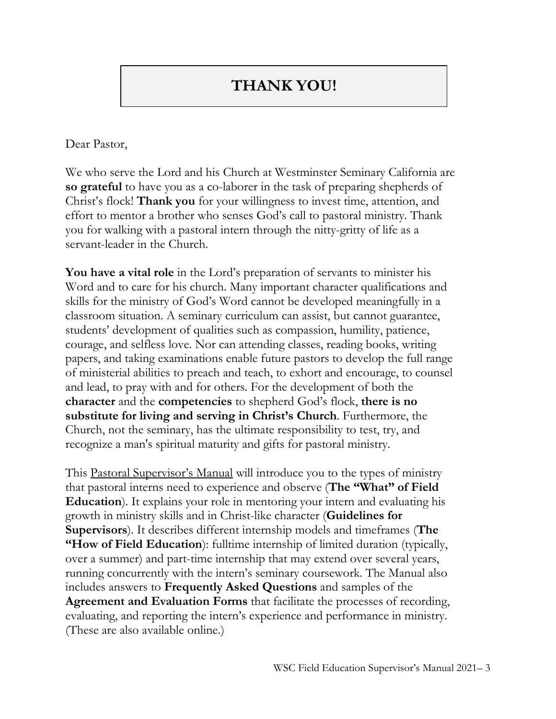## **THANK YOU!**

#### Dear Pastor,

We who serve the Lord and his Church at Westminster Seminary California are **so grateful** to have you as a co-laborer in the task of preparing shepherds of Christ's flock! **Thank you** for your willingness to invest time, attention, and effort to mentor a brother who senses God's call to pastoral ministry. Thank you for walking with a pastoral intern through the nitty-gritty of life as a servant-leader in the Church.

**You have a vital role** in the Lord's preparation of servants to minister his Word and to care for his church. Many important character qualifications and skills for the ministry of God's Word cannot be developed meaningfully in a classroom situation. A seminary curriculum can assist, but cannot guarantee, students' development of qualities such as compassion, humility, patience, courage, and selfless love. Nor can attending classes, reading books, writing papers, and taking examinations enable future pastors to develop the full range of ministerial abilities to preach and teach, to exhort and encourage, to counsel and lead, to pray with and for others. For the development of both the **character** and the **competencies** to shepherd God's flock, **there is no substitute for living and serving in Christ's Church**. Furthermore, the Church, not the seminary, has the ultimate responsibility to test, try, and recognize a man's spiritual maturity and gifts for pastoral ministry.

This Pastoral Supervisor's Manual will introduce you to the types of ministry that pastoral interns need to experience and observe (**The "What" of Field Education**). It explains your role in mentoring your intern and evaluating his growth in ministry skills and in Christ-like character (**Guidelines for Supervisors**). It describes different internship models and timeframes (**The "How of Field Education**): fulltime internship of limited duration (typically, over a summer) and part-time internship that may extend over several years, running concurrently with the intern's seminary coursework. The Manual also includes answers to **Frequently Asked Questions** and samples of the **Agreement and Evaluation Forms** that facilitate the processes of recording, evaluating, and reporting the intern's experience and performance in ministry. (These are also available online.)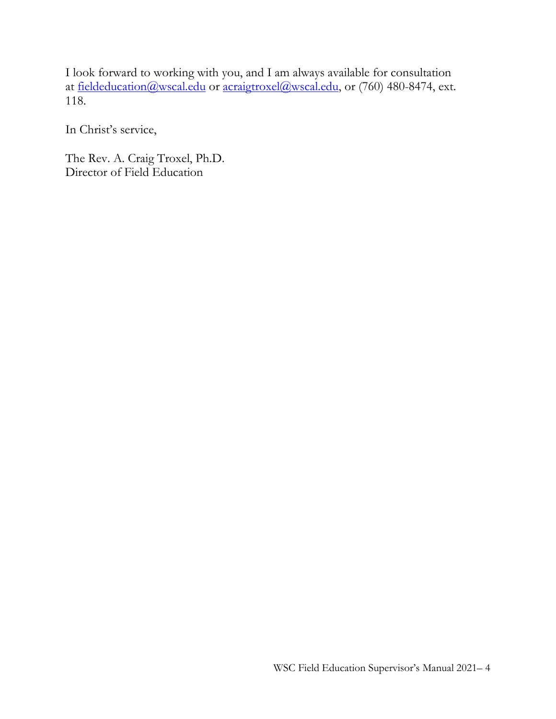I look forward to working with you, and I am always available for consultation at [fieldeducation@wscal.edu](mailto:fieldeducation@wscal.edu) or [acraigtroxel@wscal.edu,](mailto:acraigtroxel@wscal.edu) or (760) 480-8474, ext. 118.

In Christ's service,

The Rev. A. Craig Troxel, Ph.D. Director of Field Education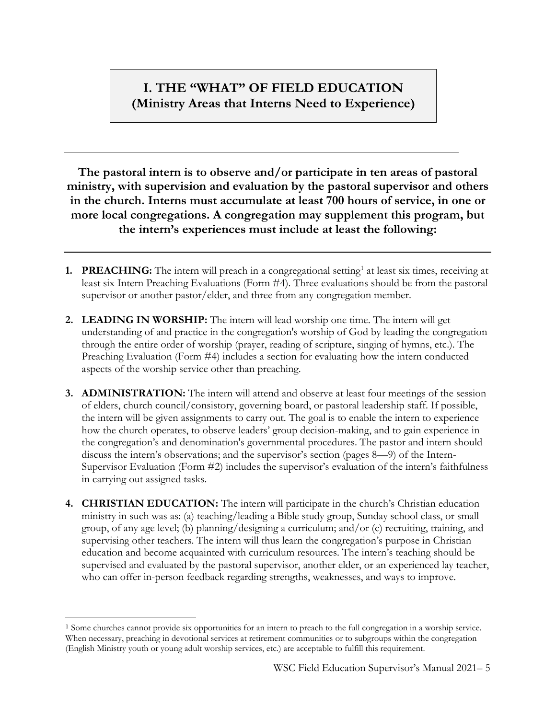### **I. THE "WHAT" OF FIELD EDUCATION (Ministry Areas that Interns Need to Experience)**

**The pastoral intern is to observe and/or participate in ten areas of pastoral ministry, with supervision and evaluation by the pastoral supervisor and others in the church. Interns must accumulate at least 700 hours of service, in one or more local congregations. A congregation may supplement this program, but the intern's experiences must include at least the following:**

- **[1](#page-4-0). PREACHING:** The intern will preach in a congregational setting<sup>1</sup> at least six times, receiving at least six Intern Preaching Evaluations (Form #4). Three evaluations should be from the pastoral supervisor or another pastor/elder, and three from any congregation member.
- **2. LEADING IN WORSHIP:** The intern will lead worship one time. The intern will get understanding of and practice in the congregation's worship of God by leading the congregation through the entire order of worship (prayer, reading of scripture, singing of hymns, etc.). The Preaching Evaluation (Form #4) includes a section for evaluating how the intern conducted aspects of the worship service other than preaching.
- **3. ADMINISTRATION:** The intern will attend and observe at least four meetings of the session of elders, church council/consistory, governing board, or pastoral leadership staff. If possible, the intern will be given assignments to carry out. The goal is to enable the intern to experience how the church operates, to observe leaders' group decision-making, and to gain experience in the congregation's and denomination's governmental procedures. The pastor and intern should discuss the intern's observations; and the supervisor's section (pages 8—9) of the Intern-Supervisor Evaluation (Form #2) includes the supervisor's evaluation of the intern's faithfulness in carrying out assigned tasks.
- **4. CHRISTIAN EDUCATION:** The intern will participate in the church's Christian education ministry in such was as: (a) teaching/leading a Bible study group, Sunday school class, or small group, of any age level; (b) planning/designing a curriculum; and/or (c) recruiting, training, and supervising other teachers. The intern will thus learn the congregation's purpose in Christian education and become acquainted with curriculum resources. The intern's teaching should be supervised and evaluated by the pastoral supervisor, another elder, or an experienced lay teacher, who can offer in-person feedback regarding strengths, weaknesses, and ways to improve.

<span id="page-4-0"></span><sup>1</sup> Some churches cannot provide six opportunities for an intern to preach to the full congregation in a worship service. When necessary, preaching in devotional services at retirement communities or to subgroups within the congregation (English Ministry youth or young adult worship services, etc.) are acceptable to fulfill this requirement.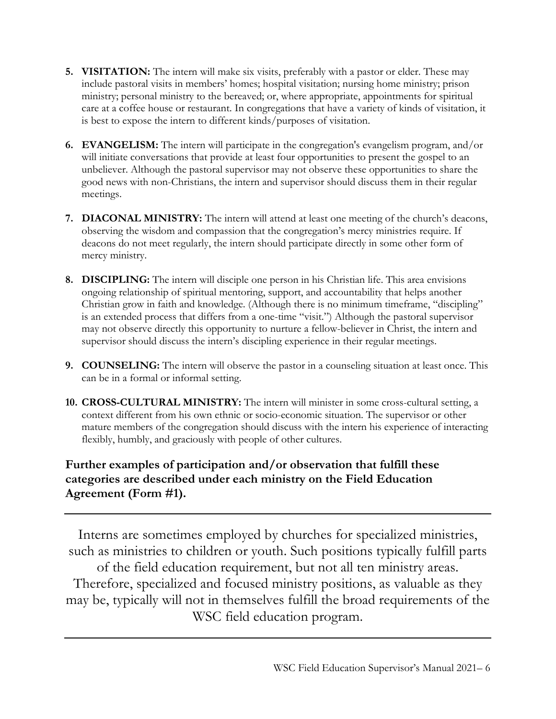- **5. VISITATION:** The intern will make six visits, preferably with a pastor or elder. These may include pastoral visits in members' homes; hospital visitation; nursing home ministry; prison ministry; personal ministry to the bereaved; or, where appropriate, appointments for spiritual care at a coffee house or restaurant. In congregations that have a variety of kinds of visitation, it is best to expose the intern to different kinds/purposes of visitation.
- **6. EVANGELISM:** The intern will participate in the congregation's evangelism program, and/or will initiate conversations that provide at least four opportunities to present the gospel to an unbeliever. Although the pastoral supervisor may not observe these opportunities to share the good news with non-Christians, the intern and supervisor should discuss them in their regular meetings.
- **7. DIACONAL MINISTRY:** The intern will attend at least one meeting of the church's deacons, observing the wisdom and compassion that the congregation's mercy ministries require. If deacons do not meet regularly, the intern should participate directly in some other form of mercy ministry.
- **8. DISCIPLING:** The intern will disciple one person in his Christian life. This area envisions ongoing relationship of spiritual mentoring, support, and accountability that helps another Christian grow in faith and knowledge. (Although there is no minimum timeframe, "discipling" is an extended process that differs from a one-time "visit.") Although the pastoral supervisor may not observe directly this opportunity to nurture a fellow-believer in Christ, the intern and supervisor should discuss the intern's discipling experience in their regular meetings.
- **9. COUNSELING:** The intern will observe the pastor in a counseling situation at least once. This can be in a formal or informal setting.
- **10. CROSS-CULTURAL MINISTRY:** The intern will minister in some cross-cultural setting, a context different from his own ethnic or socio-economic situation. The supervisor or other mature members of the congregation should discuss with the intern his experience of interacting flexibly, humbly, and graciously with people of other cultures.

### **Further examples of participation and/or observation that fulfill these categories are described under each ministry on the Field Education Agreement (Form #1).**

Interns are sometimes employed by churches for specialized ministries, such as ministries to children or youth. Such positions typically fulfill parts of the field education requirement, but not all ten ministry areas. Therefore, specialized and focused ministry positions, as valuable as they may be, typically will not in themselves fulfill the broad requirements of the WSC field education program.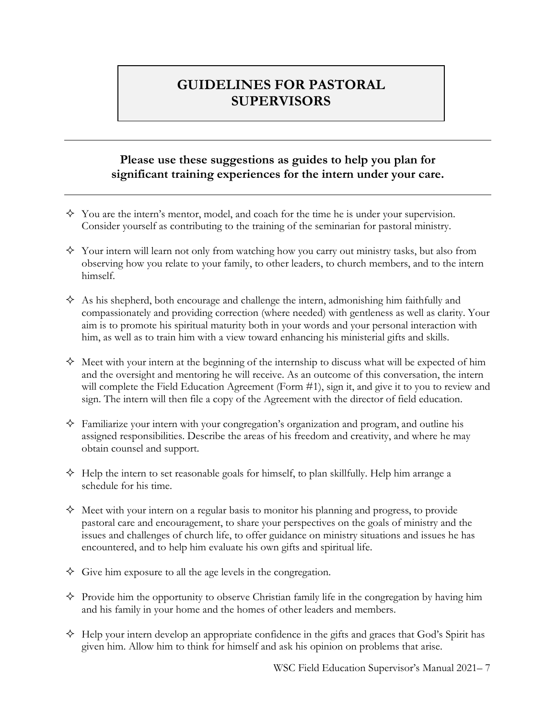## **GUIDELINES FOR PASTORAL SUPERVISORS**

### **Please use these suggestions as guides to help you plan for significant training experiences for the intern under your care.**

- $\Diamond$  You are the intern's mentor, model, and coach for the time he is under your supervision. Consider yourself as contributing to the training of the seminarian for pastoral ministry.
- $\Diamond$  Your intern will learn not only from watching how you carry out ministry tasks, but also from observing how you relate to your family, to other leaders, to church members, and to the intern himself.
- $\Diamond$  As his shepherd, both encourage and challenge the intern, admonishing him faithfully and compassionately and providing correction (where needed) with gentleness as well as clarity. Your aim is to promote his spiritual maturity both in your words and your personal interaction with him, as well as to train him with a view toward enhancing his ministerial gifts and skills.
- $\Diamond$  Meet with your intern at the beginning of the internship to discuss what will be expected of him and the oversight and mentoring he will receive. As an outcome of this conversation, the intern will complete the Field Education Agreement (Form #1), sign it, and give it to you to review and sign. The intern will then file a copy of the Agreement with the director of field education.
- $\Diamond$  Familiarize your intern with your congregation's organization and program, and outline his assigned responsibilities. Describe the areas of his freedom and creativity, and where he may obtain counsel and support.
- $\Diamond$  Help the intern to set reasonable goals for himself, to plan skillfully. Help him arrange a schedule for his time.
- $\diamond$  Meet with your intern on a regular basis to monitor his planning and progress, to provide pastoral care and encouragement, to share your perspectives on the goals of ministry and the issues and challenges of church life, to offer guidance on ministry situations and issues he has encountered, and to help him evaluate his own gifts and spiritual life.
- $\Diamond$  Give him exposure to all the age levels in the congregation.
- $\diamond$  Provide him the opportunity to observe Christian family life in the congregation by having him and his family in your home and the homes of other leaders and members.
- $\Diamond$  Help your intern develop an appropriate confidence in the gifts and graces that God's Spirit has given him. Allow him to think for himself and ask his opinion on problems that arise.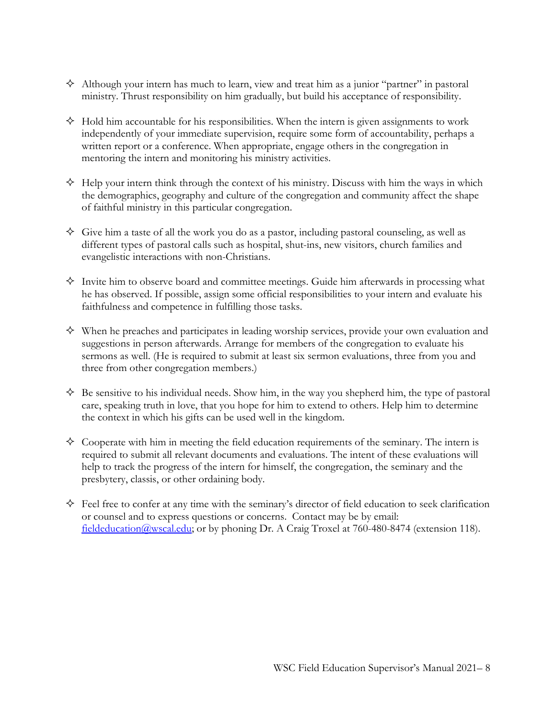- $\Diamond$  Although your intern has much to learn, view and treat him as a junior "partner" in pastoral ministry. Thrust responsibility on him gradually, but build his acceptance of responsibility.
- $\Diamond$  Hold him accountable for his responsibilities. When the intern is given assignments to work independently of your immediate supervision, require some form of accountability, perhaps a written report or a conference. When appropriate, engage others in the congregation in mentoring the intern and monitoring his ministry activities.
- $\Diamond$  Help your intern think through the context of his ministry. Discuss with him the ways in which the demographics, geography and culture of the congregation and community affect the shape of faithful ministry in this particular congregation.
- $\Diamond$  Give him a taste of all the work you do as a pastor, including pastoral counseling, as well as different types of pastoral calls such as hospital, shut-ins, new visitors, church families and evangelistic interactions with non-Christians.
- $\Diamond$  Invite him to observe board and committee meetings. Guide him afterwards in processing what he has observed. If possible, assign some official responsibilities to your intern and evaluate his faithfulness and competence in fulfilling those tasks.
- $\diamond$  When he preaches and participates in leading worship services, provide your own evaluation and suggestions in person afterwards. Arrange for members of the congregation to evaluate his sermons as well. (He is required to submit at least six sermon evaluations, three from you and three from other congregation members.)
- $\Diamond$  Be sensitive to his individual needs. Show him, in the way you shepherd him, the type of pastoral care, speaking truth in love, that you hope for him to extend to others. Help him to determine the context in which his gifts can be used well in the kingdom.
- $\diamondsuit$  Cooperate with him in meeting the field education requirements of the seminary. The intern is required to submit all relevant documents and evaluations. The intent of these evaluations will help to track the progress of the intern for himself, the congregation, the seminary and the presbytery, classis, or other ordaining body.
- $\Diamond$  Feel free to confer at any time with the seminary's director of field education to seek clarification or counsel and to express questions or concerns. Contact may be by email: [fieldeducation@wscal.edu;](mailto:fieldeducation@wscal.edu) or by phoning Dr. A Craig Troxel at 760-480-8474 (extension 118).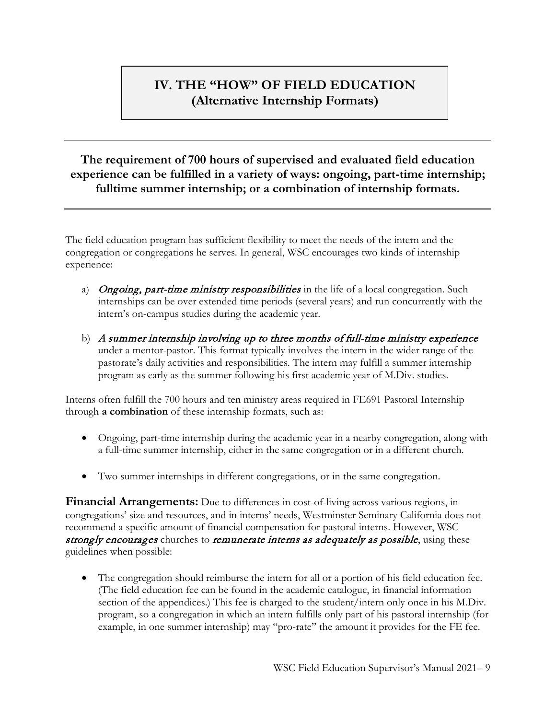## **IV. THE "HOW" OF FIELD EDUCATION (Alternative Internship Formats)**

### **The requirement of 700 hours of supervised and evaluated field education experience can be fulfilled in a variety of ways: ongoing, part-time internship; fulltime summer internship; or a combination of internship formats.**

The field education program has sufficient flexibility to meet the needs of the intern and the congregation or congregations he serves. In general, WSC encourages two kinds of internship experience:

- a) Ongoing, part-time ministry responsibilities in the life of a local congregation. Such internships can be over extended time periods (several years) and run concurrently with the intern's on-campus studies during the academic year.
- b) A summer internship involving up to three months of full-time ministry experience under a mentor-pastor. This format typically involves the intern in the wider range of the pastorate's daily activities and responsibilities. The intern may fulfill a summer internship program as early as the summer following his first academic year of M.Div. studies.

Interns often fulfill the 700 hours and ten ministry areas required in FE691 Pastoral Internship through **a combination** of these internship formats, such as:

- Ongoing, part-time internship during the academic year in a nearby congregation, along with a full-time summer internship, either in the same congregation or in a different church.
- Two summer internships in different congregations, or in the same congregation.

**Financial Arrangements:** Due to differences in cost-of-living across various regions, in congregations' size and resources, and in interns' needs, Westminster Seminary California does not recommend a specific amount of financial compensation for pastoral interns. However, WSC strongly encourages churches to remunerate interns as adequately as possible, using these guidelines when possible:

• The congregation should reimburse the intern for all or a portion of his field education fee. (The field education fee can be found in the academic catalogue, in financial information section of the appendices.) This fee is charged to the student/intern only once in his M.Div. program, so a congregation in which an intern fulfills only part of his pastoral internship (for example, in one summer internship) may "pro-rate" the amount it provides for the FE fee.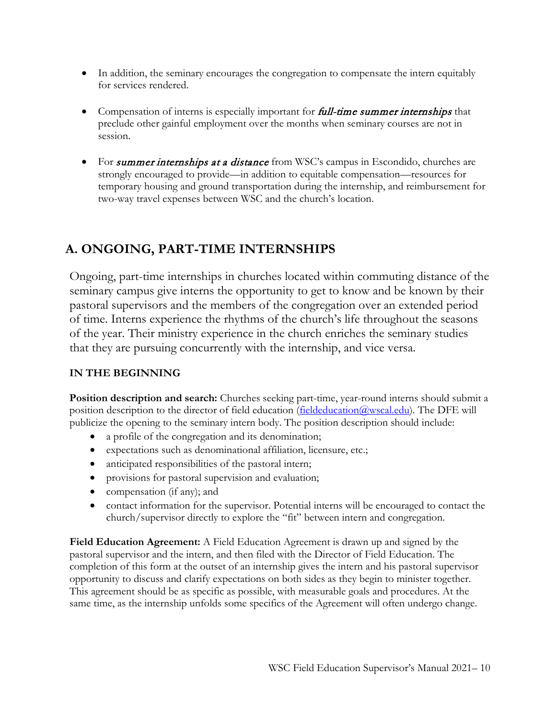- In addition, the seminary encourages the congregation to compensate the intern equitably for services rendered.
- Compensation of interns is especially important for *full-time summer internships* that preclude other gainful employment over the months when seminary courses are not in session.
- For *summer internships at a distance* from WSC's campus in Escondido, churches are strongly encouraged to provide—in addition to equitable compensation—resources for temporary housing and ground transportation during the internship, and reimbursement for two-way travel expenses between WSC and the church's location.

### **A. ONGOING, PART-TIME INTERNSHIPS**

Ongoing, part-time internships in churches located within commuting distance of the seminary campus give interns the opportunity to get to know and be known by their pastoral supervisors and the members of the congregation over an extended period of time. Interns experience the rhythms of the church's life throughout the seasons of the year. Their ministry experience in the church enriches the seminary studies that they are pursuing concurrently with the internship, and vice versa.

#### **IN THE BEGINNING**

Position description and search: Churches seeking part-time, year-round interns should submit a position description to the director of field education (fieldeducation @wscal.edu). The DFE will publicize the opening to the seminary intern body. The position description should include:

- a profile of the congregation and its denomination;
- expectations such as denominational affiliation, licensure, etc.;
- anticipated responsibilities of the pastoral intern;
- provisions for pastoral supervision and evaluation;
- compensation (if any); and
- contact information for the supervisor. Potential interns will be encouraged to contact the church/supervisor directly to explore the "fit" between intern and congregation.

**Field Education Agreement:** A Field Education Agreement is drawn up and signed by the pastoral supervisor and the intern, and then filed with the Director of Field Education. The completion of this form at the outset of an internship gives the intern and his pastoral supervisor opportunity to discuss and clarify expectations on both sides as they begin to minister together. This agreement should be as specific as possible, with measurable goals and procedures. At the same time, as the internship unfolds some specifics of the Agreement will often undergo change.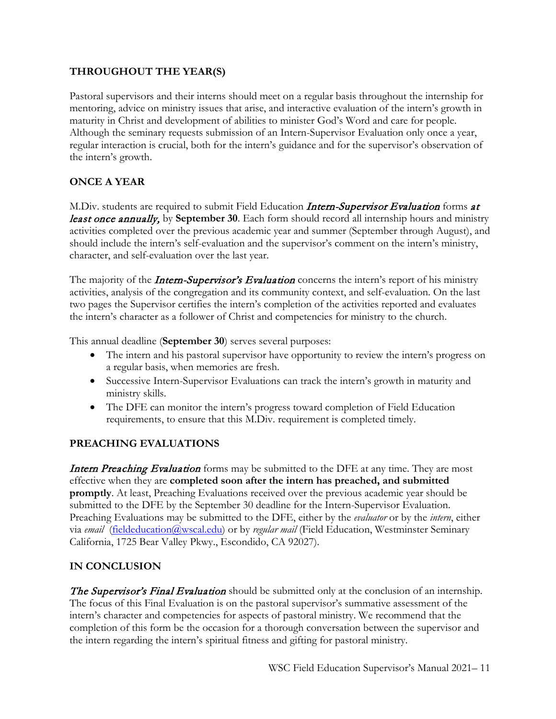#### **THROUGHOUT THE YEAR(S)**

Pastoral supervisors and their interns should meet on a regular basis throughout the internship for mentoring, advice on ministry issues that arise, and interactive evaluation of the intern's growth in maturity in Christ and development of abilities to minister God's Word and care for people. Although the seminary requests submission of an Intern-Supervisor Evaluation only once a year, regular interaction is crucial, both for the intern's guidance and for the supervisor's observation of the intern's growth.

#### **ONCE A YEAR**

M.Div. students are required to submit Field Education *Intern-Supervisor Evaluation* forms at least once annually, by **September 30**. Each form should record all internship hours and ministry activities completed over the previous academic year and summer (September through August), and should include the intern's self-evaluation and the supervisor's comment on the intern's ministry, character, and self-evaluation over the last year.

The majority of the *Intern-Supervisor's Evaluation* concerns the intern's report of his ministry activities, analysis of the congregation and its community context, and self-evaluation. On the last two pages the Supervisor certifies the intern's completion of the activities reported and evaluates the intern's character as a follower of Christ and competencies for ministry to the church.

This annual deadline (**September 30**) serves several purposes:

- The intern and his pastoral supervisor have opportunity to review the intern's progress on a regular basis, when memories are fresh.
- Successive Intern-Supervisor Evaluations can track the intern's growth in maturity and ministry skills.
- The DFE can monitor the intern's progress toward completion of Field Education requirements, to ensure that this M.Div. requirement is completed timely.

#### **PREACHING EVALUATIONS**

**Intern Preaching Evaluation** forms may be submitted to the DFE at any time. They are most effective when they are **completed soon after the intern has preached, and submitted promptly**. At least, Preaching Evaluations received over the previous academic year should be submitted to the DFE by the September 30 deadline for the Intern-Supervisor Evaluation. Preaching Evaluations may be submitted to the DFE, either by the *evaluator* or by the *intern*, either via *email* [\(fieldeducation@wscal.edu\)](mailto:fieldeducation@wscal.edu) or by *regular mail* (Field Education, Westminster Seminary California, 1725 Bear Valley Pkwy., Escondido, CA 92027).

#### **IN CONCLUSION**

The Supervisor's Final Evaluation should be submitted only at the conclusion of an internship. The focus of this Final Evaluation is on the pastoral supervisor's summative assessment of the intern's character and competencies for aspects of pastoral ministry. We recommend that the completion of this form be the occasion for a thorough conversation between the supervisor and the intern regarding the intern's spiritual fitness and gifting for pastoral ministry.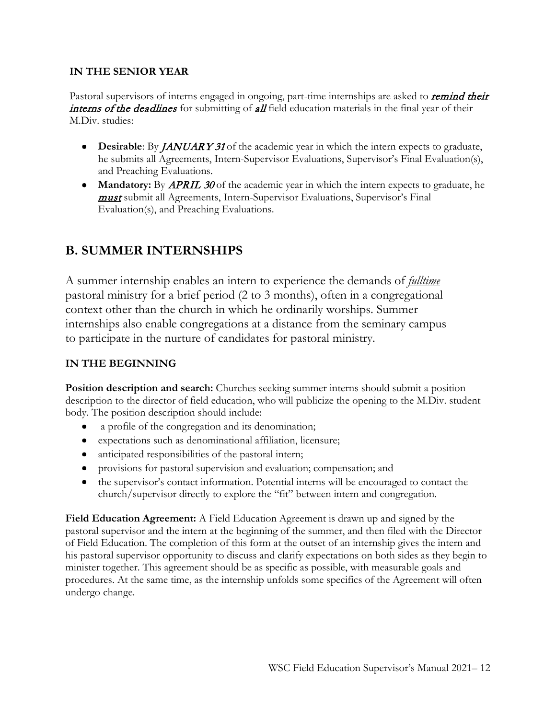#### **IN THE SENIOR YEAR**

Pastoral supervisors of interns engaged in ongoing, part-time internships are asked to **remind their** interns of the deadlines for submitting of all field education materials in the final year of their M.Div. studies:

- **Desirable**: By **JANUARY 31** of the academic year in which the intern expects to graduate, he submits all Agreements, Intern-Supervisor Evaluations, Supervisor's Final Evaluation(s), and Preaching Evaluations.
- **Mandatory:** By *APRIL 30* of the academic year in which the intern expects to graduate, he must submit all Agreements, Intern-Supervisor Evaluations, Supervisor's Final Evaluation(s), and Preaching Evaluations.

### **B. SUMMER INTERNSHIPS**

A summer internship enables an intern to experience the demands of *fulltime* pastoral ministry for a brief period (2 to 3 months), often in a congregational context other than the church in which he ordinarily worships. Summer internships also enable congregations at a distance from the seminary campus to participate in the nurture of candidates for pastoral ministry.

#### **IN THE BEGINNING**

**Position description and search:** Churches seeking summer interns should submit a position description to the director of field education, who will publicize the opening to the M.Div. student body. The position description should include:

- a profile of the congregation and its denomination;
- expectations such as denominational affiliation, licensure;
- anticipated responsibilities of the pastoral intern;
- provisions for pastoral supervision and evaluation; compensation; and
- the supervisor's contact information. Potential interns will be encouraged to contact the church/supervisor directly to explore the "fit" between intern and congregation.

**Field Education Agreement:** A Field Education Agreement is drawn up and signed by the pastoral supervisor and the intern at the beginning of the summer, and then filed with the Director of Field Education. The completion of this form at the outset of an internship gives the intern and his pastoral supervisor opportunity to discuss and clarify expectations on both sides as they begin to minister together. This agreement should be as specific as possible, with measurable goals and procedures. At the same time, as the internship unfolds some specifics of the Agreement will often undergo change.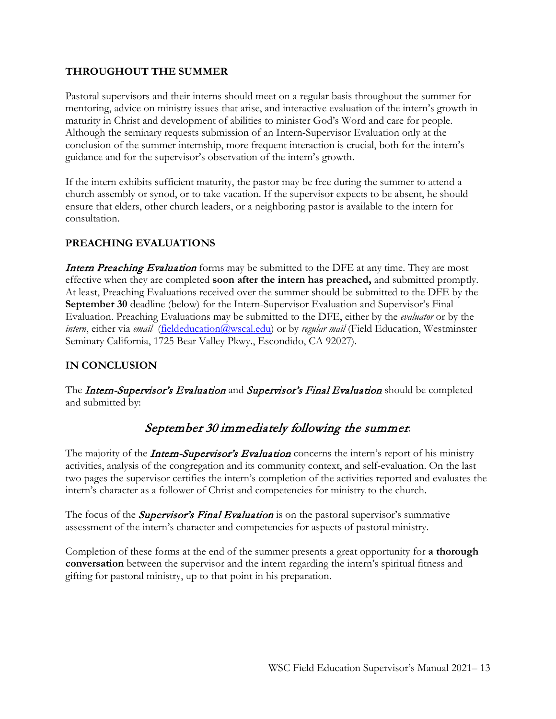#### **THROUGHOUT THE SUMMER**

Pastoral supervisors and their interns should meet on a regular basis throughout the summer for mentoring, advice on ministry issues that arise, and interactive evaluation of the intern's growth in maturity in Christ and development of abilities to minister God's Word and care for people. Although the seminary requests submission of an Intern-Supervisor Evaluation only at the conclusion of the summer internship, more frequent interaction is crucial, both for the intern's guidance and for the supervisor's observation of the intern's growth.

If the intern exhibits sufficient maturity, the pastor may be free during the summer to attend a church assembly or synod, or to take vacation. If the supervisor expects to be absent, he should ensure that elders, other church leaders, or a neighboring pastor is available to the intern for consultation.

#### **PREACHING EVALUATIONS**

**Intern Preaching Evaluation** forms may be submitted to the DFE at any time. They are most effective when they are completed **soon after the intern has preached,** and submitted promptly. At least, Preaching Evaluations received over the summer should be submitted to the DFE by the **September 30** deadline (below) for the Intern-Supervisor Evaluation and Supervisor's Final Evaluation. Preaching Evaluations may be submitted to the DFE, either by the *evaluator* or by the *intern*, either via *email* [\(fieldeducation@wscal.edu\)](mailto:fieldeducation@wscal.edu) or by *regular mail* (Field Education, Westminster Seminary California, 1725 Bear Valley Pkwy., Escondido, CA 92027).

#### **IN CONCLUSION**

The Intern-Supervisor's Evaluation and Supervisor's Final Evaluation should be completed and submitted by:

### September 30 immediately following the summer.

The majority of the *Intern-Supervisor's Evaluation* concerns the intern's report of his ministry activities, analysis of the congregation and its community context, and self-evaluation. On the last two pages the supervisor certifies the intern's completion of the activities reported and evaluates the intern's character as a follower of Christ and competencies for ministry to the church.

The focus of the **Supervisor's Final Evaluation** is on the pastoral supervisor's summative assessment of the intern's character and competencies for aspects of pastoral ministry.

Completion of these forms at the end of the summer presents a great opportunity for **a thorough conversation** between the supervisor and the intern regarding the intern's spiritual fitness and gifting for pastoral ministry, up to that point in his preparation.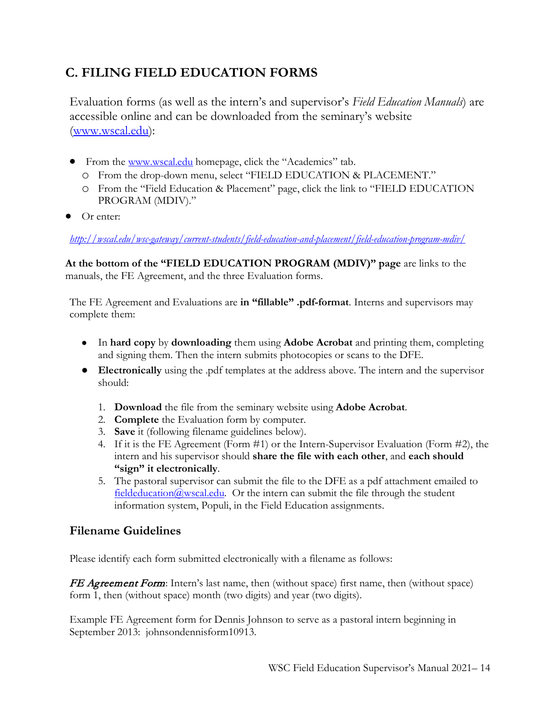## **C. FILING FIELD EDUCATION FORMS**

Evaluation forms (as well as the intern's and supervisor's *Field Education Manuals*) are accessible online and can be downloaded from the seminary's website [\(www.wscal.edu\)](http://www.wscal.edu/):

- From the [www.wscal.edu](http://www.wscal.edu/) homepage, click the "Academics" tab.
	- o From the drop-down menu, select "FIELD EDUCATION & PLACEMENT."
	- o From the "Field Education & Placement" page, click the link to "FIELD EDUCATION PROGRAM (MDIV)."
- Or enter:

*<http://wscal.edu/wsc-gateway/current-students/field-education-and-placement/field-education-program-mdiv/>*

**At the bottom of the "FIELD EDUCATION PROGRAM (MDIV)" page** are links to the manuals, the FE Agreement, and the three Evaluation forms.

The FE Agreement and Evaluations are **in "fillable" .pdf-format**. Interns and supervisors may complete them:

- In **hard copy** by **downloading** them using **Adobe Acrobat** and printing them, completing and signing them. Then the intern submits photocopies or scans to the DFE.
- **Electronically** using the .pdf templates at the address above. The intern and the supervisor should:
	- 1. **Download** the file from the seminary website using **Adobe Acrobat**.
	- 2. **Complete** the Evaluation form by computer.
	- 3. **Save** it (following filename guidelines below).
	- 4. If it is the FE Agreement (Form #1) or the Intern-Supervisor Evaluation (Form #2), the intern and his supervisor should **share the file with each other**, and **each should "sign" it electronically**.
	- 5. The pastoral supervisor can submit the file to the DFE as a pdf attachment emailed to [fieldeducation@wscal.edu.](mailto:fieldeducation@wscal.edu) Or the intern can submit the file through the student information system, Populi, in the Field Education assignments.

### **Filename Guidelines**

Please identify each form submitted electronically with a filename as follows:

FE Agreement Form: Intern's last name, then (without space) first name, then (without space) form 1, then (without space) month (two digits) and year (two digits).

Example FE Agreement form for Dennis Johnson to serve as a pastoral intern beginning in September 2013: johnsondennisform10913.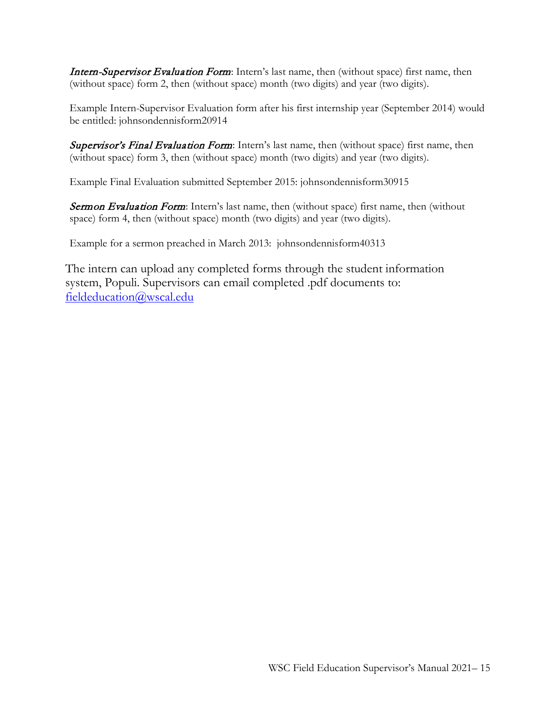Intern-Supervisor Evaluation Form: Intern's last name, then (without space) first name, then (without space) form 2, then (without space) month (two digits) and year (two digits).

Example Intern-Supervisor Evaluation form after his first internship year (September 2014) would be entitled: johnsondennisform20914

Supervisor's Final Evaluation Form: Intern's last name, then (without space) first name, then (without space) form 3, then (without space) month (two digits) and year (two digits).

Example Final Evaluation submitted September 2015: johnsondennisform30915

Sermon Evaluation Form: Intern's last name, then (without space) first name, then (without space) form 4, then (without space) month (two digits) and year (two digits).

Example for a sermon preached in March 2013: johnsondennisform40313

The intern can upload any completed forms through the student information system, Populi. Supervisors can email completed .pdf documents to: [fieldeducation@wscal.edu](mailto:fieldeducation@wscal.edu)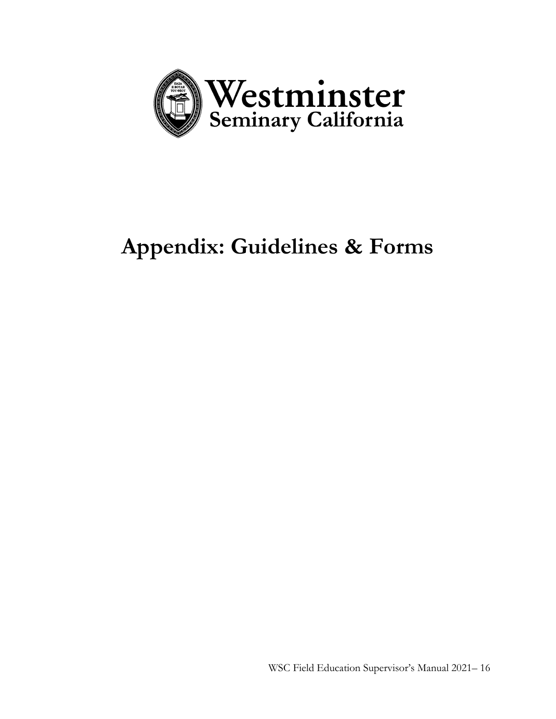

## **Appendix: Guidelines & Forms**

WSC Field Education Supervisor's Manual 2021– 16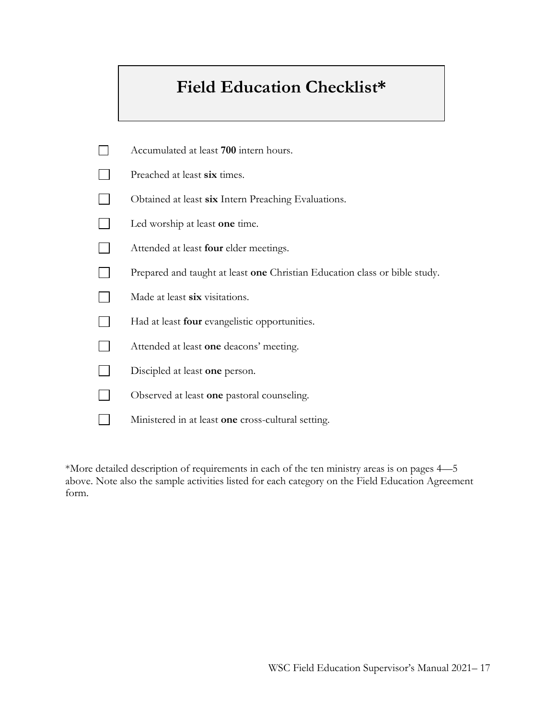## **Field Education Checklist\***

| Accumulated at least 700 intern hours.                                     |
|----------------------------------------------------------------------------|
| Preached at least six times.                                               |
| Obtained at least six Intern Preaching Evaluations.                        |
| Led worship at least one time.                                             |
| Attended at least <b>four</b> elder meetings.                              |
| Prepared and taught at least one Christian Education class or bible study. |
| Made at least six visitations.                                             |
| Had at least <b>four</b> evangelistic opportunities.                       |
| Attended at least one deacons' meeting.                                    |
| Discipled at least one person.                                             |
| Observed at least one pastoral counseling.                                 |
| Ministered in at least one cross-cultural setting.                         |

\*More detailed description of requirements in each of the ten ministry areas is on pages 4—5 above. Note also the sample activities listed for each category on the Field Education Agreement form.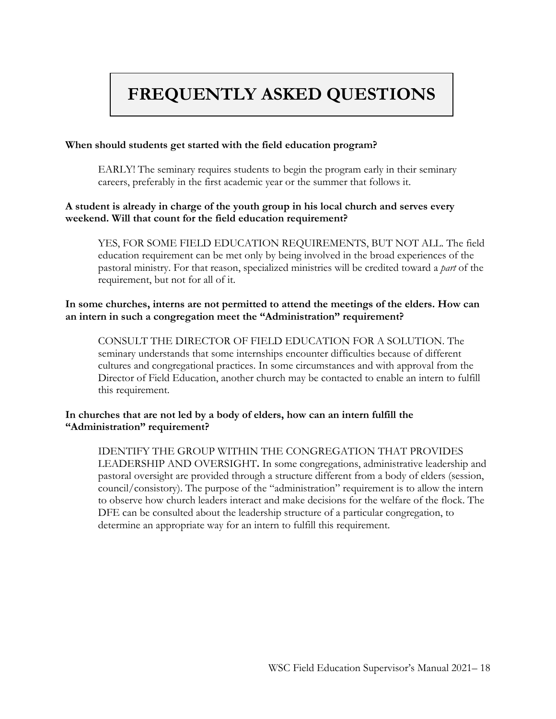## **FREQUENTLY ASKED QUESTIONS**

#### **When should students get started with the field education program?**

EARLY! The seminary requires students to begin the program early in their seminary careers, preferably in the first academic year or the summer that follows it.

#### **A student is already in charge of the youth group in his local church and serves every weekend. Will that count for the field education requirement?**

YES, FOR SOME FIELD EDUCATION REQUIREMENTS, BUT NOT ALL. The field education requirement can be met only by being involved in the broad experiences of the pastoral ministry. For that reason, specialized ministries will be credited toward a *part* of the requirement, but not for all of it.

#### **In some churches, interns are not permitted to attend the meetings of the elders. How can an intern in such a congregation meet the "Administration" requirement?**

CONSULT THE DIRECTOR OF FIELD EDUCATION FOR A SOLUTION. The seminary understands that some internships encounter difficulties because of different cultures and congregational practices. In some circumstances and with approval from the Director of Field Education, another church may be contacted to enable an intern to fulfill this requirement.

#### **In churches that are not led by a body of elders, how can an intern fulfill the "Administration" requirement?**

IDENTIFY THE GROUP WITHIN THE CONGREGATION THAT PROVIDES LEADERSHIP AND OVERSIGHT**.** In some congregations, administrative leadership and pastoral oversight are provided through a structure different from a body of elders (session, council/consistory). The purpose of the "administration" requirement is to allow the intern to observe how church leaders interact and make decisions for the welfare of the flock. The DFE can be consulted about the leadership structure of a particular congregation, to determine an appropriate way for an intern to fulfill this requirement.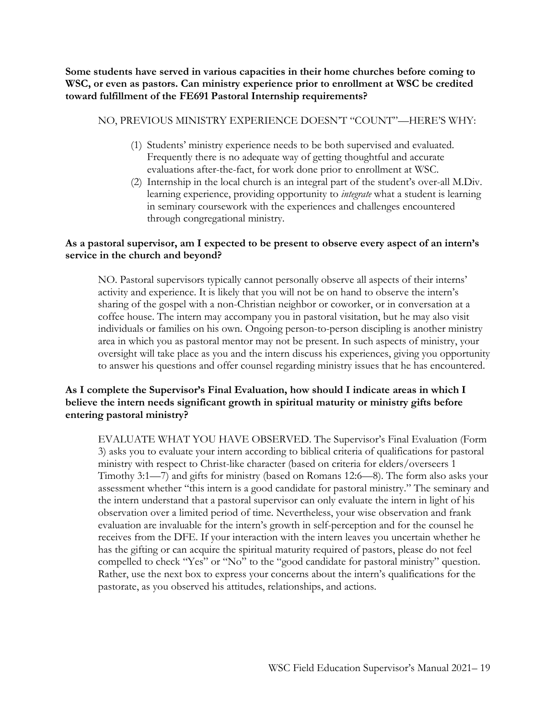**Some students have served in various capacities in their home churches before coming to WSC, or even as pastors. Can ministry experience prior to enrollment at WSC be credited toward fulfillment of the FE691 Pastoral Internship requirements?**

#### NO, PREVIOUS MINISTRY EXPERIENCE DOESN'T "COUNT"—HERE'S WHY:

- (1) Students' ministry experience needs to be both supervised and evaluated. Frequently there is no adequate way of getting thoughtful and accurate evaluations after-the-fact, for work done prior to enrollment at WSC.
- (2) Internship in the local church is an integral part of the student's over-all M.Div. learning experience, providing opportunity to *integrate* what a student is learning in seminary coursework with the experiences and challenges encountered through congregational ministry.

#### **As a pastoral supervisor, am I expected to be present to observe every aspect of an intern's service in the church and beyond?**

NO. Pastoral supervisors typically cannot personally observe all aspects of their interns' activity and experience. It is likely that you will not be on hand to observe the intern's sharing of the gospel with a non-Christian neighbor or coworker, or in conversation at a coffee house. The intern may accompany you in pastoral visitation, but he may also visit individuals or families on his own. Ongoing person-to-person discipling is another ministry area in which you as pastoral mentor may not be present. In such aspects of ministry, your oversight will take place as you and the intern discuss his experiences, giving you opportunity to answer his questions and offer counsel regarding ministry issues that he has encountered.

#### **As I complete the Supervisor's Final Evaluation, how should I indicate areas in which I believe the intern needs significant growth in spiritual maturity or ministry gifts before entering pastoral ministry?**

EVALUATE WHAT YOU HAVE OBSERVED. The Supervisor's Final Evaluation (Form 3) asks you to evaluate your intern according to biblical criteria of qualifications for pastoral ministry with respect to Christ-like character (based on criteria for elders/overseers 1 Timothy 3:1—7) and gifts for ministry (based on Romans 12:6—8). The form also asks your assessment whether "this intern is a good candidate for pastoral ministry." The seminary and the intern understand that a pastoral supervisor can only evaluate the intern in light of his observation over a limited period of time. Nevertheless, your wise observation and frank evaluation are invaluable for the intern's growth in self-perception and for the counsel he receives from the DFE. If your interaction with the intern leaves you uncertain whether he has the gifting or can acquire the spiritual maturity required of pastors, please do not feel compelled to check "Yes" or "No" to the "good candidate for pastoral ministry" question. Rather, use the next box to express your concerns about the intern's qualifications for the pastorate, as you observed his attitudes, relationships, and actions.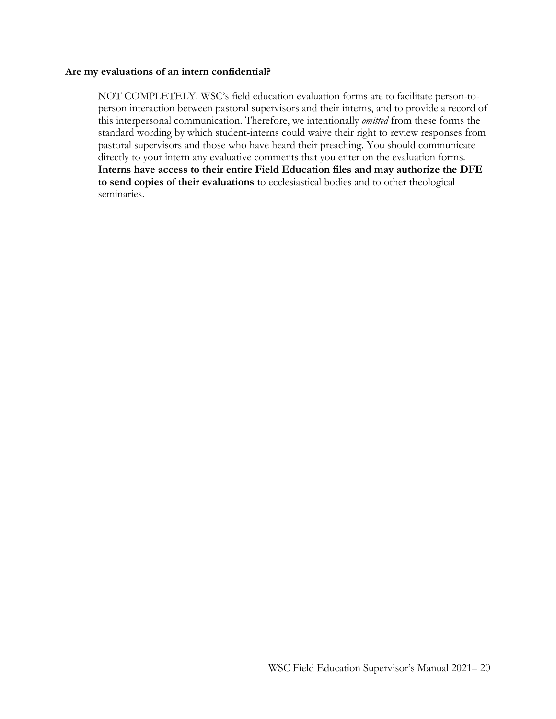#### **Are my evaluations of an intern confidential?**

NOT COMPLETELY. WSC's field education evaluation forms are to facilitate person-toperson interaction between pastoral supervisors and their interns, and to provide a record of this interpersonal communication. Therefore, we intentionally *omitted* from these forms the standard wording by which student-interns could waive their right to review responses from pastoral supervisors and those who have heard their preaching. You should communicate directly to your intern any evaluative comments that you enter on the evaluation forms. **Interns have access to their entire Field Education files and may authorize the DFE to send copies of their evaluations t**o ecclesiastical bodies and to other theological seminaries.